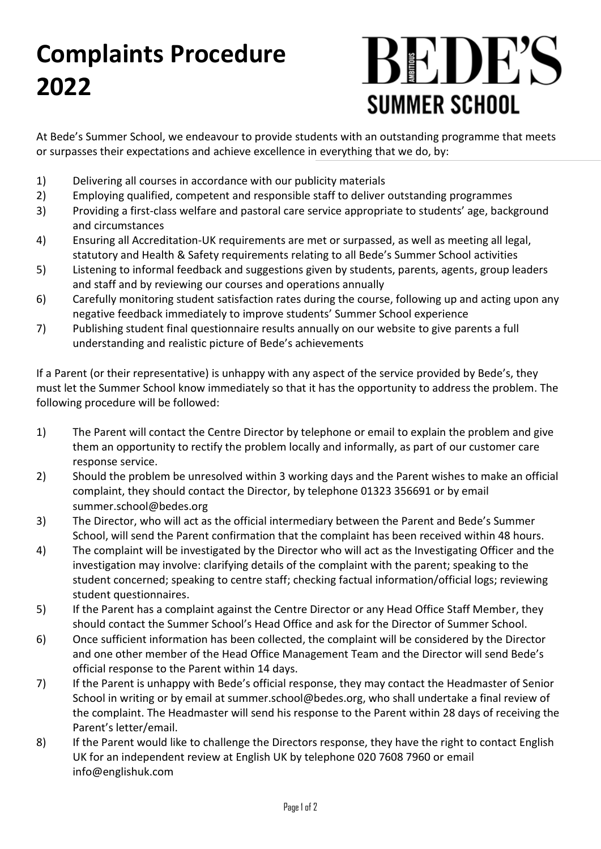## **Complaints Procedure 2022**

## BEDE'S **SUMMER SCHOOL**

At Bede's Summer School, we endeavour to provide students with an outstanding programme that meets or surpasses their expectations and achieve excellence in everything that we do, by:

- 1) Delivering all courses in accordance with our publicity materials
- 2) Employing qualified, competent and responsible staff to deliver outstanding programmes
- 3) Providing a first-class welfare and pastoral care service appropriate to students' age, background and circumstances
- 4) Ensuring all Accreditation-UK requirements are met or surpassed, as well as meeting all legal, statutory and Health & Safety requirements relating to all Bede's Summer School activities
- 5) Listening to informal feedback and suggestions given by students, parents, agents, group leaders and staff and by reviewing our courses and operations annually
- 6) Carefully monitoring student satisfaction rates during the course, following up and acting upon any negative feedback immediately to improve students' Summer School experience
- 7) Publishing student final questionnaire results annually on our website to give parents a full understanding and realistic picture of Bede's achievements

If a Parent (or their representative) is unhappy with any aspect of the service provided by Bede's, they must let the Summer School know immediately so that it has the opportunity to address the problem. The following procedure will be followed:

- 1) The Parent will contact the Centre Director by telephone or email to explain the problem and give them an opportunity to rectify the problem locally and informally, as part of our customer care response service.
- 2) Should the problem be unresolved within 3 working days and the Parent wishes to make an official complaint, they should contact the Director, by telephone 01323 356691 or by email summer.school@bedes.org
- 3) The Director, who will act as the official intermediary between the Parent and Bede's Summer School, will send the Parent confirmation that the complaint has been received within 48 hours.
- 4) The complaint will be investigated by the Director who will act as the Investigating Officer and the investigation may involve: clarifying details of the complaint with the parent; speaking to the student concerned; speaking to centre staff; checking factual information/official logs; reviewing student questionnaires.
- 5) If the Parent has a complaint against the Centre Director or any Head Office Staff Member, they should contact the Summer School's Head Office and ask for the Director of Summer School.
- 6) Once sufficient information has been collected, the complaint will be considered by the Director and one other member of the Head Office Management Team and the Director will send Bede's official response to the Parent within 14 days.
- 7) If the Parent is unhappy with Bede's official response, they may contact the Headmaster of Senior School in writing or by email at summer.school@bedes.org, who shall undertake a final review of the complaint. The Headmaster will send his response to the Parent within 28 days of receiving the Parent's letter/email.
- 8) If the Parent would like to challenge the Directors response, they have the right to contact English UK for an independent review at English UK by telephone 020 7608 7960 or email info@englishuk.com